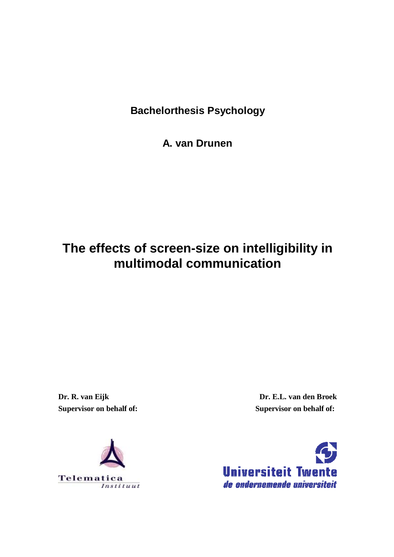**Bachelorthesis Psychology** 

**A. van Drunen** 

# **The effects of screen-size on intelligibility in multimodal communication**

**Dr. R. van Eijk Supervisor on behalf of:** 

**Dr. E.L. van den Broek Supervisor on behalf of:** 



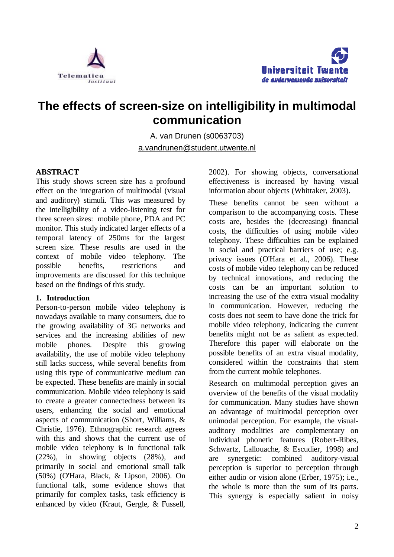



# **The effects of screen-size on intelligibility in multimodal communication**

A. van Drunen (s0063703) [a.vandrunen@student.utwente.nl](mailto:a.vandrunen@student.utwente.nl)

# **ABSTRACT**

This study shows screen size has a profound effect on the integration of multimodal (visual and auditory) stimuli. This was measured by the intelligibility of a video-listening test for three screen sizes: mobile phone, PDA and PC monitor. This study indicated larger effects of a temporal latency of 250ms for the largest screen size. These results are used in the context of mobile video telephony. The possible benefits, restrictions and improvements are discussed for this technique based on the findings of this study.

#### **1. Introduction**

Person-to-person mobile video telephony is nowadays available to many consumers, due to the growing availability of 3G networks and services and the increasing abilities of new mobile phones. Despite this growing availability, the use of mobile video telephony still lacks success, while several benefits from using this type of communicative medium can be expected. These benefits are mainly in social communication. Mobile video telephony is said to create a greater connectedness between its users, enhancing the social and emotional aspects of communication (Short, Williams, & Christie, 1976). Ethnographic research agrees with this and shows that the current use of mobile video telephony is in functional talk (22%), in showing objects (28%), and primarily in social and emotional small talk (50%) (O'Hara, Black, & Lipson, 2006). On functional talk, some evidence shows that primarily for complex tasks, task efficiency is enhanced by video (Kraut, Gergle, & Fussell,

2002). For showing objects, conversational effectiveness is increased by having visual information about objects (Whittaker, 2003).

These benefits cannot be seen without a comparison to the accompanying costs. These costs are, besides the (decreasing) financial costs, the difficulties of using mobile video telephony. These difficulties can be explained in social and practical barriers of use; e.g. privacy issues (O'Hara et al., 2006). These costs of mobile video telephony can be reduced by technical innovations, and reducing the costs can be an important solution to increasing the use of the extra visual modality in communication. However, reducing the costs does not seem to have done the trick for mobile video telephony, indicating the current benefits might not be as salient as expected. Therefore this paper will elaborate on the possible benefits of an extra visual modality, considered within the constraints that stem from the current mobile telephones.

Research on multimodal perception gives an overview of the benefits of the visual modality for communication. Many studies have shown an advantage of multimodal perception over unimodal perception. For example, the visualauditory modalities are complementary on individual phonetic features (Robert-Ribes, Schwartz, Lallouache, & Escudier, 1998) and are synergetic: combined auditory-visual perception is superior to perception through either audio or vision alone (Erber, 1975); i.e., the whole is more than the sum of its parts. This synergy is especially salient in noisy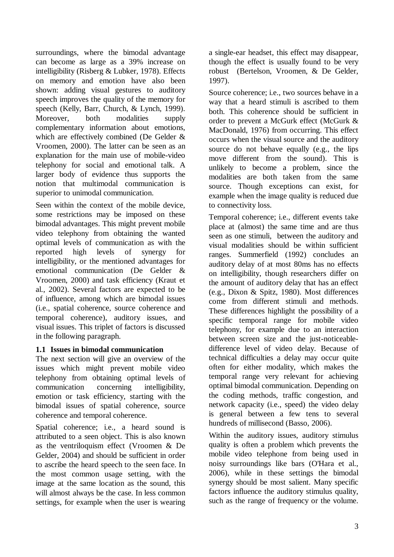surroundings, where the bimodal advantage can become as large as a 39% increase on intelligibility (Risberg & Lubker, 1978). Effects on memory and emotion have also been shown: adding visual gestures to auditory speech improves the quality of the memory for speech (Kelly, Barr, Church, & Lynch, 1999). Moreover, both modalities supply complementary information about emotions, which are effectively combined (De Gelder & Vroomen, 2000). The latter can be seen as an explanation for the main use of mobile-video telephony for social and emotional talk. A larger body of evidence thus supports the notion that multimodal communication is superior to unimodal communication.

Seen within the context of the mobile device, some restrictions may be imposed on these bimodal advantages. This might prevent mobile video telephony from obtaining the wanted optimal levels of communication as with the reported high levels of synergy for intelligibility, or the mentioned advantages for emotional communication (De Gelder & Vroomen, 2000) and task efficiency (Kraut et al., 2002). Several factors are expected to be of influence, among which are bimodal issues (i.e., spatial coherence, source coherence and temporal coherence), auditory issues, and visual issues. This triplet of factors is discussed in the following paragraph.

# **1.1 Issues in bimodal communication**

The next section will give an overview of the issues which might prevent mobile video telephony from obtaining optimal levels of communication concerning intelligibility, emotion or task efficiency, starting with the bimodal issues of spatial coherence, source coherence and temporal coherence.

Spatial coherence; i.e., a heard sound is attributed to a seen object. This is also known as the ventriloquism effect (Vroomen & De Gelder, 2004) and should be sufficient in order to ascribe the heard speech to the seen face. In the most common usage setting, with the image at the same location as the sound, this will almost always be the case. In less common settings, for example when the user is wearing

a single-ear headset, this effect may disappear, though the effect is usually found to be very robust (Bertelson, Vroomen, & De Gelder, 1997).

Source coherence; i.e., two sources behave in a way that a heard stimuli is ascribed to them both. This coherence should be sufficient in order to prevent a McGurk effect (McGurk & MacDonald, 1976) from occurring. This effect occurs when the visual source and the auditory source do not behave equally (e.g., the lips move different from the sound). This is unlikely to become a problem, since the modalities are both taken from the same source. Though exceptions can exist, for example when the image quality is reduced due to connectivity loss.

Temporal coherence; i.e., different events take place at (almost) the same time and are thus seen as one stimuli, between the auditory and visual modalities should be within sufficient ranges. Summerfield (1992) concludes an auditory delay of at most 80ms has no effects on intelligibility, though researchers differ on the amount of auditory delay that has an effect (e.g., Dixon & Spitz, 1980). Most differences come from different stimuli and methods. These differences highlight the possibility of a specific temporal range for mobile video telephony, for example due to an interaction between screen size and the just-noticeabledifference level of video delay. Because of technical difficulties a delay may occur quite often for either modality, which makes the temporal range very relevant for achieving optimal bimodal communication. Depending on the coding methods, traffic congestion, and network capacity (i.e., speed) the video delay is general between a few tens to several hundreds of millisecond (Basso, 2006).

Within the auditory issues, auditory stimulus quality is often a problem which prevents the mobile video telephone from being used in noisy surroundings like bars (O'Hara et al., 2006), while in these settings the bimodal synergy should be most salient. Many specific factors influence the auditory stimulus quality, such as the range of frequency or the volume.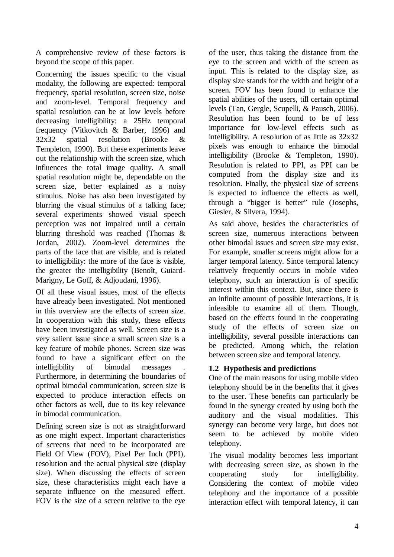A comprehensive review of these factors is beyond the scope of this paper.

Concerning the issues specific to the visual modality, the following are expected: temporal frequency, spatial resolution, screen size, noise and zoom-level. Temporal frequency and spatial resolution can be at low levels before decreasing intelligibility: a 25Hz temporal frequency (Vitkovitch & Barber, 1996) and 32x32 spatial resolution (Brooke & Templeton, 1990). But these experiments leave out the relationship with the screen size, which influences the total image quality. A small spatial resolution might be, dependable on the screen size, better explained as a noisy stimulus. Noise has also been investigated by blurring the visual stimulus of a talking face; several experiments showed visual speech perception was not impaired until a certain blurring threshold was reached (Thomas & Jordan, 2002). Zoom-level determines the parts of the face that are visible, and is related to intelligibility: the more of the face is visible, the greater the intelligibility (Benoît, Guiard-Marigny, Le Goff, & Adjoudani, 1996).

Of all these visual issues, most of the effects have already been investigated. Not mentioned in this overview are the effects of screen size. In cooperation with this study, these effects have been investigated as well. Screen size is a very salient issue since a small screen size is a key feature of mobile phones. Screen size was found to have a significant effect on the intelligibility of bimodal messages . Furthermore, in determining the boundaries of optimal bimodal communication, screen size is expected to produce interaction effects on other factors as well, due to its key relevance in bimodal communication.

Defining screen size is not as straightforward as one might expect. Important characteristics of screens that need to be incorporated are Field Of View (FOV), Pixel Per Inch (PPI), resolution and the actual physical size (display size). When discussing the effects of screen size, these characteristics might each have a separate influence on the measured effect. FOV is the size of a screen relative to the eye

of the user, thus taking the distance from the eye to the screen and width of the screen as input. This is related to the display size, as display size stands for the width and height of a screen. FOV has been found to enhance the spatial abilities of the users, till certain optimal levels (Tan, Gergle, Scupelli, & Pausch, 2006). Resolution has been found to be of less importance for low-level effects such as intelligibility. A resolution of as little as 32x32 pixels was enough to enhance the bimodal intelligibility (Brooke & Templeton, 1990). Resolution is related to PPI, as PPI can be computed from the display size and its resolution. Finally, the physical size of screens is expected to influence the effects as well, through a "bigger is better" rule (Josephs, Giesler, & Silvera, 1994).

As said above, besides the characteristics of screen size, numerous interactions between other bimodal issues and screen size may exist. For example, smaller screens might allow for a larger temporal latency. Since temporal latency relatively frequently occurs in mobile video telephony, such an interaction is of specific interest within this context. But, since there is an infinite amount of possible interactions, it is infeasible to examine all of them. Though, based on the effects found in the cooperating study of the effects of screen size on intelligibility, several possible interactions can be predicted. Among which, the relation between screen size and temporal latency.

# **1.2 Hypothesis and predictions**

One of the main reasons for using mobile video telephony should be in the benefits that it gives to the user. These benefits can particularly be found in the synergy created by using both the auditory and the visual modalities. This synergy can become very large, but does not seem to be achieved by mobile video telephony.

The visual modality becomes less important with decreasing screen size, as shown in the cooperating study for intelligibility. Considering the context of mobile video telephony and the importance of a possible interaction effect with temporal latency, it can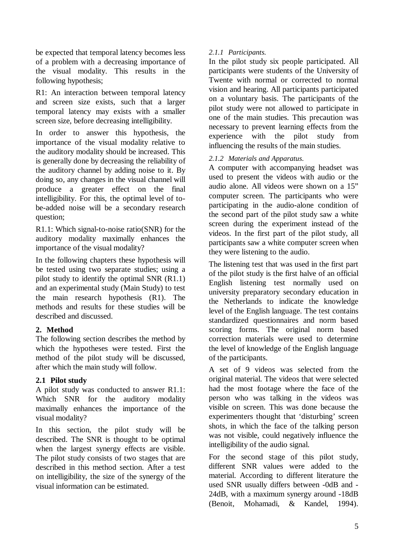be expected that temporal latency becomes less of a problem with a decreasing importance of the visual modality. This results in the following hypothesis;

R1: An interaction between temporal latency and screen size exists, such that a larger temporal latency may exists with a smaller screen size, before decreasing intelligibility.

In order to answer this hypothesis, the importance of the visual modality relative to the auditory modality should be increased. This is generally done by decreasing the reliability of the auditory channel by adding noise to it. By doing so, any changes in the visual channel will produce a greater effect on the final intelligibility. For this, the optimal level of tobe-added noise will be a secondary research question;

R1.1: Which signal-to-noise ratio(SNR) for the auditory modality maximally enhances the importance of the visual modality?

In the following chapters these hypothesis will be tested using two separate studies; using a pilot study to identify the optimal SNR (R1.1) and an experimental study (Main Study) to test the main research hypothesis (R1). The methods and results for these studies will be described and discussed.

# **2. Method**

The following section describes the method by which the hypotheses were tested. First the method of the pilot study will be discussed, after which the main study will follow.

# **2.1 Pilot study**

A pilot study was conducted to answer R1.1: Which SNR for the auditory modality maximally enhances the importance of the visual modality?

In this section, the pilot study will be described. The SNR is thought to be optimal when the largest synergy effects are visible. The pilot study consists of two stages that are described in this method section. After a test on intelligibility, the size of the synergy of the visual information can be estimated.

### *2.1.1 Participants.*

In the pilot study six people participated. All participants were students of the University of Twente with normal or corrected to normal vision and hearing. All participants participated on a voluntary basis. The participants of the pilot study were not allowed to participate in one of the main studies. This precaution was necessary to prevent learning effects from the experience with the pilot study from influencing the results of the main studies.

### *2.1.2 Materials and Apparatus.*

A computer with accompanying headset was used to present the videos with audio or the audio alone. All videos were shown on a 15" computer screen. The participants who were participating in the audio-alone condition of the second part of the pilot study saw a white screen during the experiment instead of the videos. In the first part of the pilot study, all participants saw a white computer screen when they were listening to the audio.

The listening test that was used in the first part of the pilot study is the first halve of an official English listening test normally used on university preparatory secondary education in the Netherlands to indicate the knowledge level of the English language. The test contains standardized questionnaires and norm based scoring forms. The original norm based correction materials were used to determine the level of knowledge of the English language of the participants.

A set of 9 videos was selected from the original material. The videos that were selected had the most footage where the face of the person who was talking in the videos was visible on screen. This was done because the experimenters thought that 'disturbing' screen shots, in which the face of the talking person was not visible, could negatively influence the intelligibility of the audio signal.

For the second stage of this pilot study, different SNR values were added to the material. According to different literature the used SNR usually differs between -0dB and - 24dB, with a maximum synergy around -18dB (Benoit, Mohamadi, & Kandel, 1994).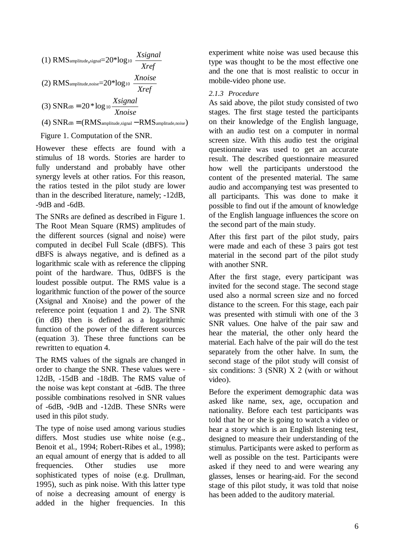(1) RMS<sub>amplitude,signal</sub>=20<sup>\*</sup>log<sub>10</sub> 
$$
\frac{Xsignal}{Xref}
$$
  
\n(2) RMS<sub>amplitude,noise</sub>=20<sup>\*</sup>log<sub>10</sub>  $\frac{Xnoise}{Xref}$   
\n(3) SNR<sub>dB</sub> = 20<sup>\*</sup>log<sub>10</sub>  $\frac{Xsignal}{Xnoise}$   
\n(4) SNR<sub>dB</sub> = (RMS<sub>amplitude,signal</sub> - RMS<sub>amplitude,noise</sub>)

Figure 1. Computation of the SNR.

However these effects are found with a stimulus of 18 words. Stories are harder to fully understand and probably have other synergy levels at other ratios. For this reason, the ratios tested in the pilot study are lower than in the described literature, namely; -12dB, -9dB and -6dB.

The SNRs are defined as described in Figure 1. The Root Mean Square (RMS) amplitudes of the different sources (signal and noise) were computed in decibel Full Scale (dBFS). This dBFS is always negative, and is defined as a logarithmic scale with as reference the clipping point of the hardware. Thus, 0dBFS is the loudest possible output. The RMS value is a logarithmic function of the power of the source (Xsignal and Xnoise) and the power of the reference point (equation 1 and 2). The SNR (in dB) then is defined as a logarithmic function of the power of the different sources (equation 3). These three functions can be rewritten to equation 4.

The RMS values of the signals are changed in order to change the SNR. These values were - 12dB, -15dB and -18dB. The RMS value of the noise was kept constant at -6dB. The three possible combinations resolved in SNR values of -6dB, -9dB and -12dB. These SNRs were used in this pilot study.

The type of noise used among various studies differs. Most studies use white noise (e.g., Benoit et al., 1994; Robert-Ribes et al., 1998); an equal amount of energy that is added to all frequencies. Other studies use more sophisticated types of noise (e.g. Drullman, 1995), such as pink noise. With this latter type of noise a decreasing amount of energy is added in the higher frequencies. In this experiment white noise was used because this type was thought to be the most effective one and the one that is most realistic to occur in mobile-video phone use.

#### *2.1.3 Procedure*

As said above, the pilot study consisted of two stages. The first stage tested the participants on their knowledge of the English language, with an audio test on a computer in normal screen size. With this audio test the original questionnaire was used to get an accurate result. The described questionnaire measured how well the participants understood the content of the presented material. The same audio and accompanying test was presented to all participants. This was done to make it possible to find out if the amount of knowledge of the English language influences the score on the second part of the main study.

After this first part of the pilot study, pairs were made and each of these 3 pairs got test material in the second part of the pilot study with another SNR.

After the first stage, every participant was invited for the second stage. The second stage used also a normal screen size and no forced distance to the screen. For this stage, each pair was presented with stimuli with one of the 3 SNR values. One halve of the pair saw and hear the material, the other only heard the material. Each halve of the pair will do the test separately from the other halve. In sum, the second stage of the pilot study will consist of six conditions: 3 (SNR) X 2 (with or without video).

Before the experiment demographic data was asked like name, sex, age, occupation and nationality. Before each test participants was told that he or she is going to watch a video or hear a story which is an English listening test, designed to measure their understanding of the stimulus. Participants were asked to perform as well as possible on the test. Participants were asked if they need to and were wearing any glasses, lenses or hearing-aid. For the second stage of this pilot study, it was told that noise has been added to the auditory material.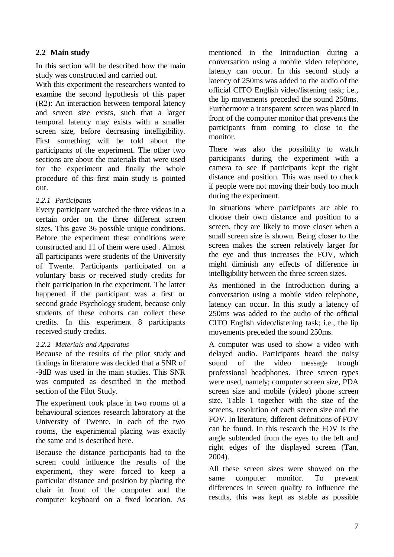# **2.2 Main study**

In this section will be described how the main study was constructed and carried out.

With this experiment the researchers wanted to examine the second hypothesis of this paper (R2): An interaction between temporal latency and screen size exists, such that a larger temporal latency may exists with a smaller screen size, before decreasing intelligibility. First something will be told about the participants of the experiment. The other two sections are about the materials that were used for the experiment and finally the whole procedure of this first main study is pointed out.

# *2.2.1 Participants*

Every participant watched the three videos in a certain order on the three different screen sizes. This gave 36 possible unique conditions. Before the experiment these conditions were constructed and 11 of them were used . Almost all participants were students of the University of Twente. Participants participated on a voluntary basis or received study credits for their participation in the experiment. The latter happened if the participant was a first or second grade Psychology student, because only students of these cohorts can collect these credits. In this experiment 8 participants received study credits.

#### *2.2.2 Materials and Apparatus*

Because of the results of the pilot study and findings in literature was decided that a SNR of -9dB was used in the main studies. This SNR was computed as described in the method section of the Pilot Study.

The experiment took place in two rooms of a behavioural sciences research laboratory at the University of Twente. In each of the two rooms, the experimental placing was exactly the same and is described here.

Because the distance participants had to the screen could influence the results of the experiment, they were forced to keep a particular distance and position by placing the chair in front of the computer and the computer keyboard on a fixed location. As

mentioned in the Introduction during a conversation using a mobile video telephone, latency can occur. In this second study a latency of 250ms was added to the audio of the official CITO English video/listening task; i.e., the lip movements preceded the sound 250ms. Furthermore a transparent screen was placed in front of the computer monitor that prevents the participants from coming to close to the monitor.

There was also the possibility to watch participants during the experiment with a camera to see if participants kept the right distance and position. This was used to check if people were not moving their body too much during the experiment.

In situations where participants are able to choose their own distance and position to a screen, they are likely to move closer when a small screen size is shown. Being closer to the screen makes the screen relatively larger for the eye and thus increases the FOV, which might diminish any effects of difference in intelligibility between the three screen sizes.

As mentioned in the Introduction during a conversation using a mobile video telephone, latency can occur. In this study a latency of 250ms was added to the audio of the official CITO English video/listening task; i.e., the lip movements preceded the sound 250ms.

A computer was used to show a video with delayed audio. Participants heard the noisy sound of the video message trough professional headphones. Three screen types were used, namely; computer screen size, PDA screen size and mobile (video) phone screen size. Table 1 together with the size of the screens, resolution of each screen size and the FOV. In literature, different definitions of FOV can be found. In this research the FOV is the angle subtended from the eyes to the left and right edges of the displayed screen (Tan, 2004).

All these screen sizes were showed on the same computer monitor. To prevent differences in screen quality to influence the results, this was kept as stable as possible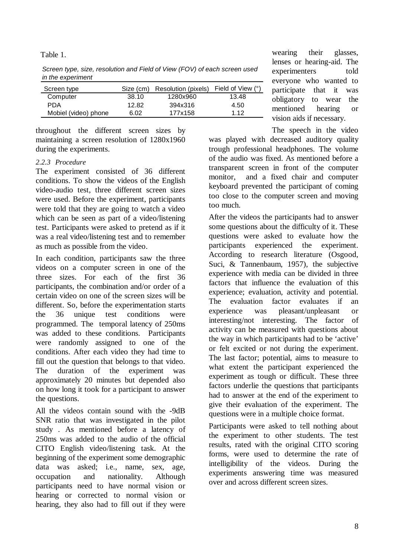Table 1.

*Screen type, size, resolution and Field of View (FOV) of each screen used in the experiment*

| Screen type          | Size (cm) | Resolution (pixels) Field of View (°) |       |
|----------------------|-----------|---------------------------------------|-------|
| Computer             | 38.10     | 1280x960                              | 13.48 |
| PDA                  | 12.82     | 394x316                               | 4.50  |
| Mobiel (video) phone | 6.02      | 177x158                               | 1 1 2 |

throughout the different screen sizes by maintaining a screen resolution of 1280x1960 during the experiments.

### *2.2.3 Procedure*

The experiment consisted of 36 different conditions. To show the videos of the English video-audio test, three different screen sizes were used. Before the experiment, participants were told that they are going to watch a video which can be seen as part of a video/listening test. Participants were asked to pretend as if it was a real video/listening test and to remember as much as possible from the video.

In each condition, participants saw the three videos on a computer screen in one of the three sizes. For each of the first 36 participants, the combination and/or order of a certain video on one of the screen sizes will be different. So, before the experimentation starts the 36 unique test conditions were programmed. The temporal latency of 250ms was added to these conditions. Participants were randomly assigned to one of the conditions. After each video they had time to fill out the question that belongs to that video. The duration of the experiment was approximately 20 minutes but depended also on how long it took for a participant to answer the questions.

All the videos contain sound with the -9dB SNR ratio that was investigated in the pilot study . As mentioned before a latency of 250ms was added to the audio of the official CITO English video/listening task. At the beginning of the experiment some demographic data was asked; i.e., name, sex, age, occupation and nationality. Although participants need to have normal vision or hearing or corrected to normal vision or hearing, they also had to fill out if they were

wearing their glasses, lenses or hearing-aid. The experimenters told everyone who wanted to participate that it was obligatory to wear the mentioned hearing or vision aids if necessary.

The speech in the video was played with decreased auditory quality trough professional headphones. The volume of the audio was fixed. As mentioned before a transparent screen in front of the computer monitor, and a fixed chair and computer keyboard prevented the participant of coming too close to the computer screen and moving too much.

After the videos the participants had to answer some questions about the difficulty of it. These questions were asked to evaluate how the participants experienced the experiment. According to research literature (Osgood, Suci, & Tannenbaum, 1957), the subjective experience with media can be divided in three factors that influence the evaluation of this experience; evaluation, activity and potential. The evaluation factor evaluates if an experience was pleasant/unpleasant or interesting/not interesting. The factor of activity can be measured with questions about the way in which participants had to be 'active' or felt excited or not during the experiment. The last factor; potential, aims to measure to what extent the participant experienced the experiment as tough or difficult. These three factors underlie the questions that participants had to answer at the end of the experiment to give their evaluation of the experiment. The questions were in a multiple choice format.

Participants were asked to tell nothing about the experiment to other students. The test results, rated with the original CITO scoring forms, were used to determine the rate of intelligibility of the videos. During the experiments answering time was measured over and across different screen sizes.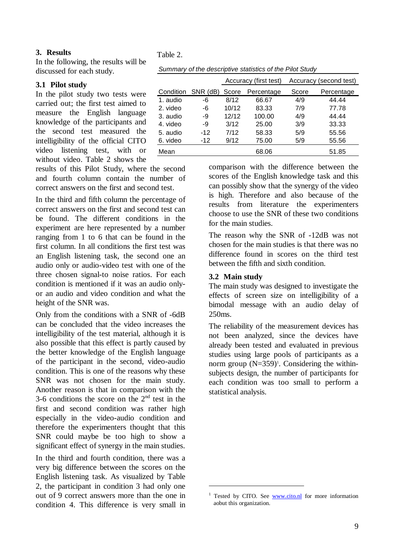#### **3. Results**

In the following, the results will be discussed for each study.

#### **3.1 Pilot study**

In the pilot study two tests were carried out; the first test aimed to measure the English language knowledge of the participants and the second test measured the intelligibility of the official CITO video listening test, with or without video. Table 2 shows the

results of this Pilot Study, where the second and fourth column contain the number of correct answers on the first and second test.

In the third and fifth column the percentage of correct answers on the first and second test can be found. The different conditions in the experiment are here represented by a number ranging from 1 to 6 that can be found in the first column. In all conditions the first test was an English listening task, the second one an audio only or audio-video test with one of the three chosen signal-to noise ratios. For each condition is mentioned if it was an audio onlyor an audio and video condition and what the height of the SNR was.

Only from the conditions with a SNR of -6dB can be concluded that the video increases the intelligibility of the test material, although it is also possible that this effect is partly caused by the better knowledge of the English language of the participant in the second, video-audio condition. This is one of the reasons why these SNR was not chosen for the main study. Another reason is that in comparison with the 3-6 conditions the score on the  $2<sup>nd</sup>$  test in the first and second condition was rather high especially in the video-audio condition and therefore the experimenters thought that this SNR could maybe be too high to show a significant effect of synergy in the main studies.

In the third and fourth condition, there was a very big difference between the scores on the English listening task. As visualized by Table 2, the participant in condition 3 had only one out of 9 correct answers more than the one in condition 4. This difference is very small in

Table 2.

|  | Summary of the descriptive statistics of the Pilot Study |  |  |
|--|----------------------------------------------------------|--|--|
|  |                                                          |  |  |

|           |          | Accuracy (first test) |            |       | Accuracy (second test) |
|-----------|----------|-----------------------|------------|-------|------------------------|
| Condition | SNR (dB) | Score                 | Percentage | Score | Percentage             |
| 1. audio  | -6       | 8/12                  | 66.67      | 4/9   | 44.44                  |
| 2. video  | -6       | 10/12                 | 83.33      | 7/9   | 77.78                  |
| 3. audio  | -9       | 12/12                 | 100.00     | 4/9   | 44.44                  |
| 4. video  | -9       | 3/12                  | 25.00      | 3/9   | 33.33                  |
| 5. audio  | $-12$    | 7/12                  | 58.33      | 5/9   | 55.56                  |
| 6. video  | $-12$    | 9/12                  | 75.00      | 5/9   | 55.56                  |
| Mean      |          |                       | 68.06      |       | 51.85                  |
|           |          |                       |            |       |                        |

comparison with the difference between the scores of the English knowledge task and this can possibly show that the synergy of the video is high. Therefore and also because of the results from literature the experimenters choose to use the SNR of these two conditions for the main studies.

The reason why the SNR of -12dB was not chosen for the main studies is that there was no difference found in scores on the third test between the fifth and sixth condition.

### **3.2 Main study**

 $\overline{a}$ 

The main study was designed to investigate the effects of screen size on intelligibility of a bimodal message with an audio delay of 250ms.

The reliability of the measurement devices has not been analyzed, since the devices have already been tested and evaluated in previous studies using large pools of participants as a norm group  $(N=359)^1$ . Considering the withinsubjects design, the number of participants for each condition was too small to perform a statistical analysis.

<sup>&</sup>lt;sup>1</sup> Tested by CITO. See [www.cito.nl](http://www.cito.nl) for more information aobut this organization.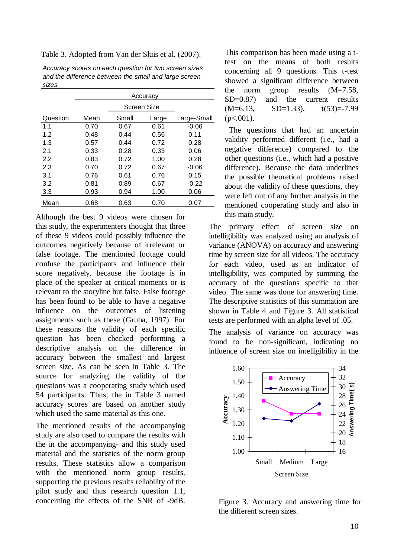Table 3. Adopted from Van der Sluis et al. (2007).

| Accuracy scores on each question for two screen sizes |
|-------------------------------------------------------|
| and the difference between the small and large screen |
| sizes                                                 |

|          | Accuracy |             |       |             |
|----------|----------|-------------|-------|-------------|
|          |          | Screen Size |       |             |
| Question | Mean     | Small       | Large | Large-Small |
| 1.1      | 0.70     | 0.67        | 0.61  | $-0.06$     |
| 1.2      | 0.48     | 0.44        | 0.56  | 0.11        |
| 1.3      | 0.57     | 0.44        | 0.72  | 0.28        |
| 2.1      | 0.33     | 0.28        | 0.33  | 0.06        |
| 2.2      | 0.83     | 0.72        | 1.00  | 0.28        |
| 2.3      | 0.70     | 0.72        | 0.67  | $-0.06$     |
| 3.1      | 0.76     | 0.61        | 0.76  | 0.15        |
| 3.2      | 0.81     | 0.89        | 0.67  | $-0.22$     |
| 3.3      | 0.93     | 0.94        | 1.00  | 0.06        |
| Mean     | 0.68     | 0.63        | 0.70  | 0.07        |

Although the best 9 videos were chosen for this study, the experimenters thought that three of these 9 videos could possibly influence the outcomes negatively because of irrelevant or false footage. The mentioned footage could confuse the participants and influence their score negatively, because the footage is in place of the speaker at critical moments or is relevant to the storyline but false. False footage has been found to be able to have a negative influence on the outcomes of listening assignments such as these (Gruba, 1997). For these reasons the validity of each specific question has been checked performing a descriptive analysis on the difference in accuracy between the smallest and largest screen size. As can be seen in Table 3. The source for analyzing the validity of the questions was a cooperating study which used 54 participants. Thus; the in Table 3 named accuracy scores are based on another study which used the same material as this one.

The mentioned results of the accompanying study are also used to compare the results with the in the accompanying- and this study used material and the statistics of the norm group results. These statistics allow a comparison with the mentioned norm group results, supporting the previous results reliability of the pilot study and thus research question 1.1, concerning the effects of the SNR of -9dB.

This comparison has been made using a ttest on the means of both results concerning all 9 questions. This t-test showed a significant difference between the norm group results (M=7.58, SD=0.87) and the current results  $(M=6.13, SD=1.33), t(53)=7.99$  $(p<.001)$ .

 The questions that had an uncertain validity performed different (i.e., had a negative difference) compared to the other questions (i.e., which had a positive difference). Because the data underlines the possible theoretical problems raised about the validity of these questions, they were left out of any further analysis in the mentioned cooperating study and also in this main study.

The primary effect of screen size on intelligibility was analyzed using an analysis of variance (ANOVA) on accuracy and answering time by screen size for all videos. The accuracy for each video, used as an indicator of intelligibility, was computed by summing the accuracy of the questions specific to that video. The same was done for answering time. The descriptive statistics of this summation are shown in Table 4 and Figure 3. All statistical tests are performed with an alpha level of .05.

The analysis of variance on accuracy was found to be non-significant, indicating no influence of screen size on intelligibility in the



Figure 3. Accuracy and answering time for the different screen sizes.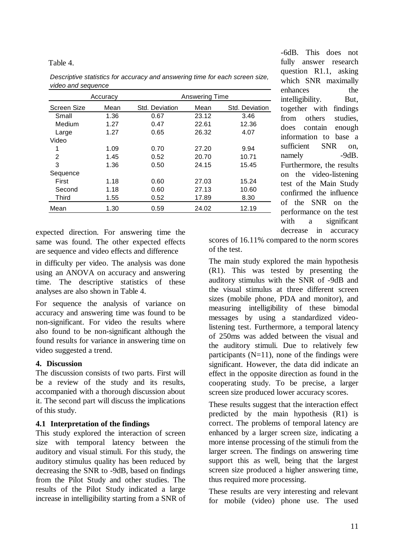### Table 4.

|                    | Accuracy |                | Answering Time |                |  |  |
|--------------------|----------|----------------|----------------|----------------|--|--|
| <b>Screen Size</b> | Mean     | Std. Deviation | Mean           | Std. Deviation |  |  |
| Small              | 1.36     | 0.67           | 23.12          | 3.46           |  |  |
| Medium             | 1.27     | 0.47           | 22.61          | 12.36          |  |  |
| Large              | 1.27     | 0.65           | 26.32          | 4.07           |  |  |
| Video              |          |                |                |                |  |  |
|                    | 1.09     | 0.70           | 27.20          | 9.94           |  |  |
| 2                  | 1.45     | 0.52           | 20.70          | 10.71          |  |  |
| 3                  | 1.36     | 0.50           | 24.15          | 15.45          |  |  |
| Sequence           |          |                |                |                |  |  |
| First              | 1.18     | 0.60           | 27.03          | 15.24          |  |  |
| Second             | 1.18     | 0.60           | 27.13          | 10.60          |  |  |
| Third              | 1.55     | 0.52           | 17.89          | 8.30           |  |  |
| Mean               | 1.30     | 0.59           | 24.02          | 12.19          |  |  |

*Descriptive statistics for accuracy and answering time for each screen size, video and sequence*

expected direction. For answering time the same was found. The other expected effects are sequence and video effects and difference

in difficulty per video. The analysis was done using an ANOVA on accuracy and answering time. The descriptive statistics of these analyses are also shown in Table 4.

For sequence the analysis of variance on accuracy and answering time was found to be non-significant. For video the results where also found to be non-significant although the found results for variance in answering time on video suggested a trend.

# **4. Discussion**

The discussion consists of two parts. First will be a review of the study and its results, accompanied with a thorough discussion about it. The second part will discuss the implications of this study.

# **4.1 Interpretation of the findings**

This study explored the interaction of screen size with temporal latency between the auditory and visual stimuli. For this study, the auditory stimulus quality has been reduced by decreasing the SNR to -9dB, based on findings from the Pilot Study and other studies. The results of the Pilot Study indicated a large increase in intelligibility starting from a SNR of

-6dB. This does not fully answer research question R1.1, asking which SNR maximally enhances the intelligibility. But, together with findings from others studies, does contain enough information to base a sufficient SNR on, namely -9dB. Furthermore, the results on the video-listening test of the Main Study confirmed the influence of the SNR on the performance on the test with a significant decrease in accuracy

scores of 16.11% compared to the norm scores of the test.

The main study explored the main hypothesis (R1). This was tested by presenting the auditory stimulus with the SNR of -9dB and the visual stimulus at three different screen sizes (mobile phone, PDA and monitor), and measuring intelligibility of these bimodal messages by using a standardized videolistening test. Furthermore, a temporal latency of 250ms was added between the visual and the auditory stimuli. Due to relatively few participants  $(N=11)$ , none of the findings were significant. However, the data did indicate an effect in the opposite direction as found in the cooperating study. To be precise, a larger screen size produced lower accuracy scores.

These results suggest that the interaction effect predicted by the main hypothesis (R1) is correct. The problems of temporal latency are enhanced by a larger screen size, indicating a more intense processing of the stimuli from the larger screen. The findings on answering time support this as well, being that the largest screen size produced a higher answering time, thus required more processing.

These results are very interesting and relevant for mobile (video) phone use. The used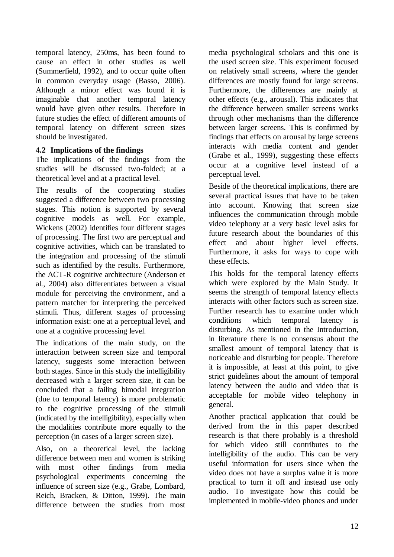temporal latency, 250ms, has been found to cause an effect in other studies as well (Summerfield, 1992), and to occur quite often in common everyday usage (Basso, 2006). Although a minor effect was found it is imaginable that another temporal latency would have given other results. Therefore in future studies the effect of different amounts of temporal latency on different screen sizes should be investigated.

# **4.2 Implications of the findings**

The implications of the findings from the studies will be discussed two-folded; at a theoretical level and at a practical level.

The results of the cooperating studies suggested a difference between two processing stages. This notion is supported by several cognitive models as well. For example, Wickens (2002) identifies four different stages of processing. The first two are perceptual and cognitive activities, which can be translated to the integration and processing of the stimuli such as identified by the results. Furthermore, the ACT-R cognitive architecture (Anderson et al., 2004) also differentiates between a visual module for perceiving the environment, and a pattern matcher for interpreting the perceived stimuli. Thus, different stages of processing information exist: one at a perceptual level, and one at a cognitive processing level.

The indications of the main study, on the interaction between screen size and temporal latency, suggests some interaction between both stages. Since in this study the intelligibility decreased with a larger screen size, it can be concluded that a failing bimodal integration (due to temporal latency) is more problematic to the cognitive processing of the stimuli (indicated by the intelligibility), especially when the modalities contribute more equally to the perception (in cases of a larger screen size).

Also, on a theoretical level, the lacking difference between men and women is striking with most other findings from media psychological experiments concerning the influence of screen size (e.g., Grabe, Lombard, Reich, Bracken, & Ditton, 1999). The main difference between the studies from most

media psychological scholars and this one is the used screen size. This experiment focused on relatively small screens, where the gender differences are mostly found for large screens. Furthermore, the differences are mainly at other effects (e.g., arousal). This indicates that the difference between smaller screens works through other mechanisms than the difference between larger screens. This is confirmed by findings that effects on arousal by large screens interacts with media content and gender (Grabe et al., 1999), suggesting these effects occur at a cognitive level instead of a perceptual level.

Beside of the theoretical implications, there are several practical issues that have to be taken into account. Knowing that screen size influences the communication through mobile video telephony at a very basic level asks for future research about the boundaries of this effect and about higher level effects. Furthermore, it asks for ways to cope with these effects.

This holds for the temporal latency effects which were explored by the Main Study. It seems the strength of temporal latency effects interacts with other factors such as screen size. Further research has to examine under which conditions which temporal latency is disturbing. As mentioned in the Introduction, in literature there is no consensus about the smallest amount of temporal latency that is noticeable and disturbing for people. Therefore it is impossible, at least at this point, to give strict guidelines about the amount of temporal latency between the audio and video that is acceptable for mobile video telephony in general.

Another practical application that could be derived from the in this paper described research is that there probably is a threshold for which video still contributes to the intelligibility of the audio. This can be very useful information for users since when the video does not have a surplus value it is more practical to turn it off and instead use only audio. To investigate how this could be implemented in mobile-video phones and under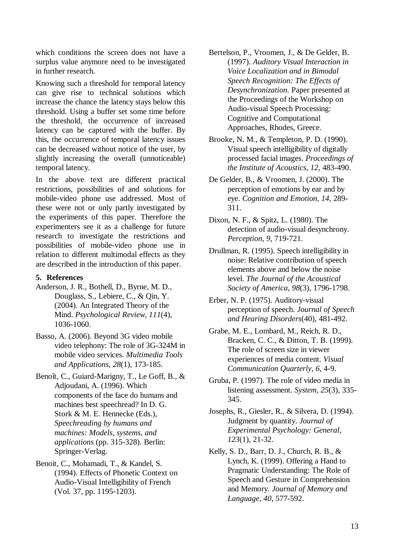which conditions the screen does not have a surplus value anymore need to be investigated in further research.

Knowing such a threshold for temporal latency can give rise to technical solutions which increase the chance the latency stays below this threshold. Using a buffer set some time before the threshold, the occurrence of increased latency can be captured with the buffer. By this, the occurrence of temporal latency issues can be decreased without notice of the user, by slightly increasing the overall (unnoticeable) temporal latency.

In the above text are different practical restrictions, possibilities of and solutions for mobile-video phone use addressed. Most of these were not or only partly investigated by the experiments of this paper. Therefore the experimenters see it as a challenge for future research to investigate the restrictions and possibilities of mobile-video phone use in relation to different multimodal effects as they are described in the introduction of this paper.

#### **5. References**

- Anderson, J. R., Bothell, D., Byrne, M. D., Douglass, S., Lebiere, C., & Qin, Y. (2004). An Integrated Theory of the Mind. *Psychological Review, 111*(4), 1036-1060.
- Basso, A. (2006). Beyond 3G video mobile video telephony: The role of 3G-324M in mobile video services. *Multimedia Tools and Applications, 28*(1), 173-185.
- Benoît, C., Guiard-Marigny, T., Le Goff, B., & Adjoudani, A. (1996). Which components of the face do humans and machines best speechread? In D. G. Stork & M. E. Hennecke (Eds.), *Speechreading by humans and machines: Models, systems, and applications* (pp. 315-328). Berlin: Springer-Verlag.
- Benoit, C., Mohamadi, T., & Kandel, S. (1994). Effects of Phonetic Context on Audio-Visual Intelligibility of French (Vol. 37, pp. 1195-1203).
- Bertelson, P., Vroomen, J., & De Gelder, B. (1997). *Auditory Visual Interaction in Voice Localization and in Bimodal Speech Recognition: The Effects of Desynchronization.* Paper presented at the Proceedings of the Workshop on Audio-visual Speech Processing: Cognitive and Computational Approaches, Rhodes, Greece.
- Brooke, N. M., & Templeton, P. D. (1990). Visual speech intelligibility of digitally processed facial images. *Proceedings of the Institute of Acoustics, 12*, 483-490.
- De Gelder, B., & Vroomen, J. (2000). The perception of emotions by ear and by eye. *Cognition and Emotion, 14*, 289- 311.
- Dixon, N. F., & Spitz, L. (1980). The detection of audio-visual desynchrony. *Perception, 9*, 719-721.
- Drullman, R. (1995). Speech intelligibility in noise: Relative contribution of speech elements above and below the noise level. *The Journal of the Acoustical Society of America, 98*(3), 1796-1798.
- Erber, N. P. (1975). Auditory-visual perception of speech. *Journal of Speech and Hearing Disorders*(40), 481-492.
- Grabe, M. E., Lombard, M., Reich, R. D., Bracken, C. C., & Ditton, T. B. (1999). The role of screen size in viewer experiences of media content. *Visual Communication Quarterly, 6*, 4-9.
- Gruba, P. (1997). The role of video media in listening assessment. *System, 25*(3), 335- 345.

Josephs, R., Giesler, R., & Silvera, D. (1994). Judgment by quantity. *Journal of Experimental Psychology: General, 123*(1), 21-32.

Kelly, S. D., Barr, D. J., Church, R. B., & Lynch, K. (1999). Offering a Hand to Pragmatic Understanding: The Role of Speech and Gesture in Comprehension and Memory. *Journal of Memory and Language, 40*, 577-592.